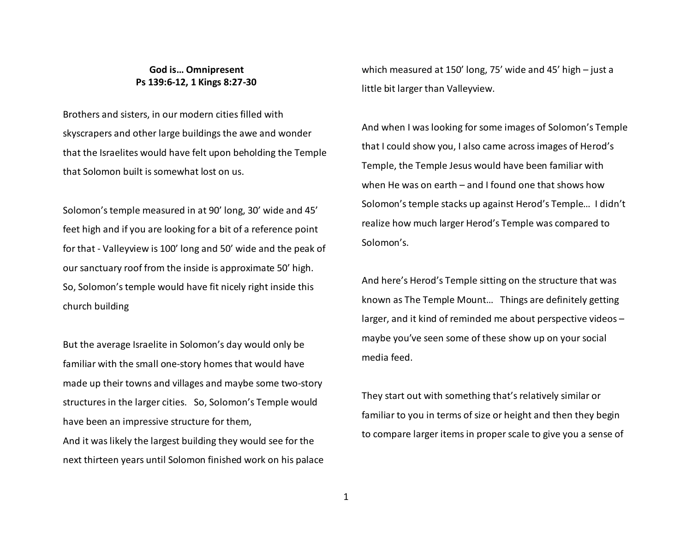## **God is… Omnipresent Ps 139:6-12, 1 Kings 8:27-30**

Brothers and sisters, in our modern cities filled with skyscrapers and other large buildings the awe and wonder that the Israelites would have felt upon beholding the Temple that Solomon built is somewhat lost on us.

Solomon's temple measured in at 90' long, 30' wide and 45' feet high and if you are looking for a bit of a reference point for that - Valleyview is 100' long and 50' wide and the peak of our sanctuary roof from the inside is approximate 50' high. So, Solomon's temple would have fit nicely right inside this church building

But the average Israelite in Solomon's day would only be familiar with the small one-story homes that would have made up their towns and villages and maybe some two-story structures in the larger cities. So, Solomon's Temple would have been an impressive structure for them, And it was likely the largest building they would see for the next thirteen years until Solomon finished work on his palace which measured at 150' long, 75' wide and 45' high – just a little bit larger than Valleyview.

And when I was looking for some images of Solomon's Temple that I could show you, I also came across images of Herod's Temple, the Temple Jesus would have been familiar with when He was on earth – and I found one that shows how Solomon's temple stacks up against Herod's Temple… I didn't realize how much larger Herod's Temple was compared to Solomon's.

And here's Herod's Temple sitting on the structure that was known as The Temple Mount… Things are definitely getting larger, and it kind of reminded me about perspective videos – maybe you've seen some of these show up on your social media feed.

They start out with something that's relatively similar or familiar to you in terms of size or height and then they begin to compare larger items in proper scale to give you a sense of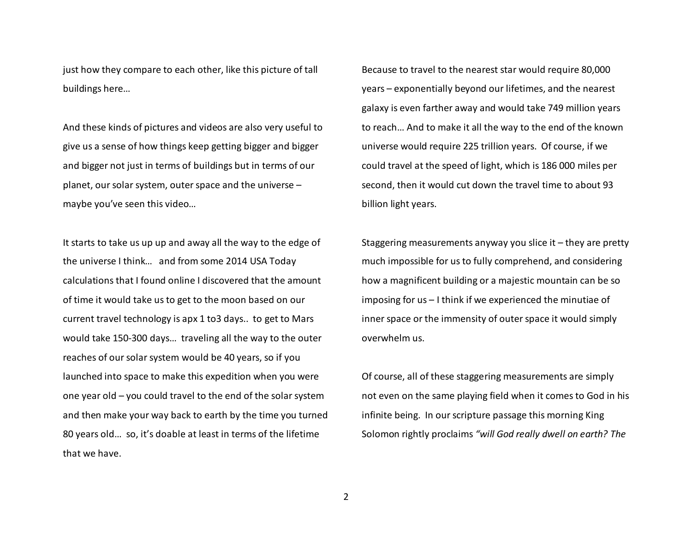just how they compare to each other, like this picture of tall buildings here…

And these kinds of pictures and videos are also very useful to give us a sense of how things keep getting bigger and bigger and bigger not just in terms of buildings but in terms of our planet, our solar system, outer space and the universe – maybe you've seen this video…

It starts to take us up up and away all the way to the edge of the universe I think… and from some 2014 USA Today calculations that I found online I discovered that the amount of time it would take us to get to the moon based on our current travel technology is apx 1 to3 days.. to get to Mars would take 150-300 days… traveling all the way to the outer reaches of our solar system would be 40 years, so if you launched into space to make this expedition when you were one year old – you could travel to the end of the solar system and then make your way back to earth by the time you turned 80 years old… so, it's doable at least in terms of the lifetime that we have.

Because to travel to the nearest star would require 80,000 years – exponentially beyond our lifetimes, and the nearest galaxy is even farther away and would take 749 million years to reach… And to make it all the way to the end of the known universe would require 225 trillion years. Of course, if we could travel at the speed of light, which is 186 000 miles per second, then it would cut down the travel time to about 93 billion light years.

Staggering measurements anyway you slice it – they are pretty much impossible for us to fully comprehend, and considering how a magnificent building or a majestic mountain can be so imposing for us – I think if we experienced the minutiae of inner space or the immensity of outer space it would simply overwhelm us.

Of course, all of these staggering measurements are simply not even on the same playing field when it comes to God in his infinite being. In our scripture passage this morning King Solomon rightly proclaims *"will God really dwell on earth? The*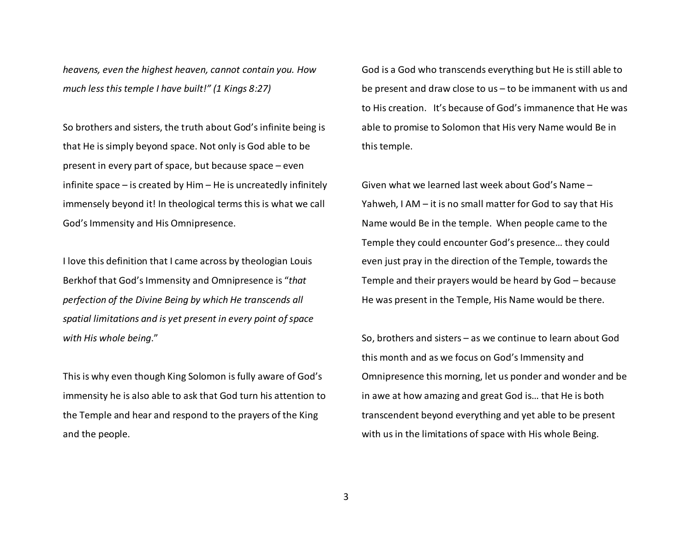*heavens, even the highest heaven, cannot contain you. How much less this temple I have built!" (1 Kings 8:27)*

So brothers and sisters, the truth about God's infinite being is that He is simply beyond space. Not only is God able to be present in every part of space, but because space – even infinite space – is created by Him – He is uncreatedly infinitely immensely beyond it! In theological terms this is what we call God's Immensity and His Omnipresence.

I love this definition that I came across by theologian Louis Berkhof that God's Immensity and Omnipresence is "*that perfection of the Divine Being by which He transcends all spatial limitations and is yet present in every point of space with His whole being*."

This is why even though King Solomon is fully aware of God's immensity he is also able to ask that God turn his attention to the Temple and hear and respond to the prayers of the King and the people.

God is a God who transcends everything but He is still able to be present and draw close to us – to be immanent with us and to His creation. It's because of God's immanence that He was able to promise to Solomon that His very Name would Be in this temple.

Given what we learned last week about God's Name – Yahweh, I AM – it is no small matter for God to say that His Name would Be in the temple. When people came to the Temple they could encounter God's presence… they could even just pray in the direction of the Temple, towards the Temple and their prayers would be heard by God – because He was present in the Temple, His Name would be there.

So, brothers and sisters – as we continue to learn about God this month and as we focus on God's Immensity and Omnipresence this morning, let us ponder and wonder and be in awe at how amazing and great God is… that He is both transcendent beyond everything and yet able to be present with us in the limitations of space with His whole Being.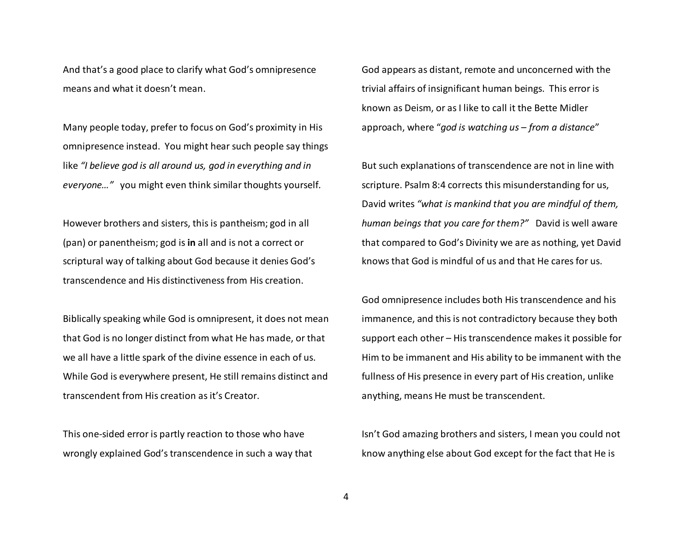And that's a good place to clarify what God's omnipresence means and what it doesn't mean.

Many people today, prefer to focus on God's proximity in His omnipresence instead. You might hear such people say things like *"I believe god is all around us, god in everything and in everyone…"* you might even think similar thoughts yourself.

However brothers and sisters, this is pantheism; god in all (pan) or panentheism; god is **in** all and is not a correct or scriptural way of talking about God because it denies God's transcendence and His distinctiveness from His creation.

Biblically speaking while God is omnipresent, it does not mean that God is no longer distinct from what He has made, or that we all have a little spark of the divine essence in each of us. While God is everywhere present, He still remains distinct and transcendent from His creation as it's Creator.

This one-sided error is partly reaction to those who have wrongly explained God's transcendence in such a way that

God appears as distant, remote and unconcerned with the trivial affairs of insignificant human beings. This error is known as Deism, or as I like to call it the Bette Midler approach, where "*god is watching us – from a distance*"

But such explanations of transcendence are not in line with scripture. Psalm 8:4 corrects this misunderstanding for us, David writes *"what is mankind that you are mindful of them, human beings that you care for them?"* David is well aware that compared to God's Divinity we are as nothing, yet David knows that God is mindful of us and that He cares for us.

God omnipresence includes both His transcendence and his immanence, and this is not contradictory because they both support each other – His transcendence makes it possible for Him to be immanent and His ability to be immanent with the fullness of His presence in every part of His creation, unlike anything, means He must be transcendent.

Isn't God amazing brothers and sisters, I mean you could not know anything else about God except for the fact that He is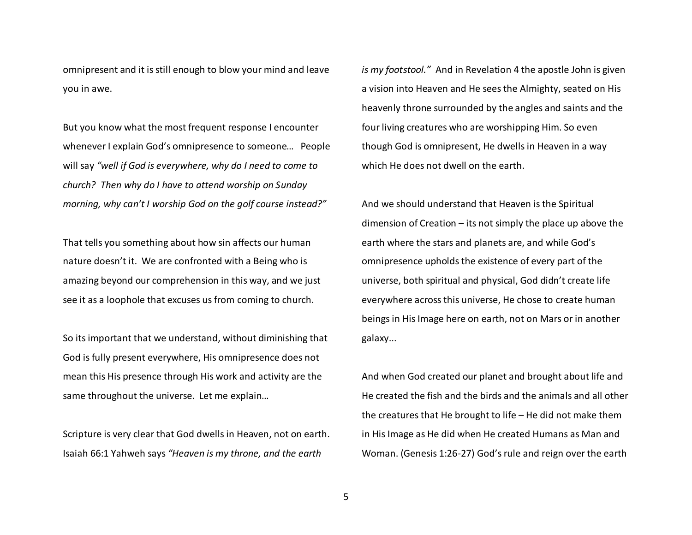omnipresent and it is still enough to blow your mind and leave you in awe.

But you know what the most frequent response I encounter whenever I explain God's omnipresence to someone… People will say *"well if God is everywhere, why do I need to come to church? Then why do I have to attend worship on Sunday morning, why can't I worship God on the golf course instead?"* 

That tells you something about how sin affects our human nature doesn't it. We are confronted with a Being who is amazing beyond our comprehension in this way, and we just see it as a loophole that excuses us from coming to church.

So its important that we understand, without diminishing that God is fully present everywhere, His omnipresence does not mean this His presence through His work and activity are the same throughout the universe. Let me explain…

Scripture is very clear that God dwells in Heaven, not on earth. Isaiah 66:1 Yahweh says *"Heaven is my throne, and the earth* 

*is my footstool."* And in Revelation 4 the apostle John is given a vision into Heaven and He sees the Almighty, seated on His heavenly throne surrounded by the angles and saints and the four living creatures who are worshipping Him. So even though God is omnipresent, He dwells in Heaven in a way which He does not dwell on the earth.

And we should understand that Heaven is the Spiritual dimension of Creation – its not simply the place up above the earth where the stars and planets are, and while God's omnipresence upholds the existence of every part of the universe, both spiritual and physical, God didn't create life everywhere across this universe, He chose to create human beings in His Image here on earth, not on Mars or in another galaxy...

And when God created our planet and brought about life and He created the fish and the birds and the animals and all other the creatures that He brought to life – He did not make them in His Image as He did when He created Humans as Man and Woman. (Genesis 1:26-27) God's rule and reign over the earth

5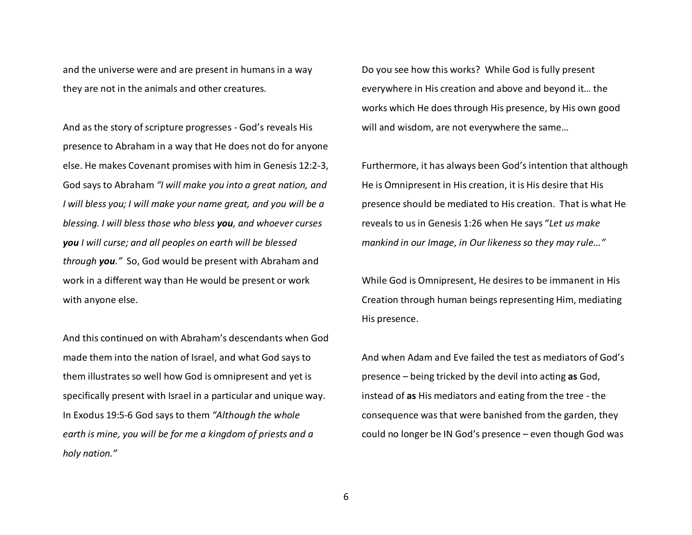and the universe were and are present in humans in a way they are not in the animals and other creatures.

And as the story of scripture progresses - God's reveals His presence to Abraham in a way that He does not do for anyone else. He makes Covenant promises with him in Genesis 12:2-3, God says to Abraham *"I will make you into a great nation, and I will bless you; I will make your name great, and you will be a blessing. I will bless those who bless you, and whoever curses you I will curse; and all peoples on earth will be blessed through you."* So, God would be present with Abraham and work in a different way than He would be present or work with anyone else.

And this continued on with Abraham's descendants when God made them into the nation of Israel, and what God says to them illustrates so well how God is omnipresent and yet is specifically present with Israel in a particular and unique way. In Exodus 19:5-6 God says to them *"Although the whole earth is mine, you will be for me a kingdom of priests and a holy nation."*

Do you see how this works? While God is fully present everywhere in His creation and above and beyond it… the works which He does through His presence, by His own good will and wisdom, are not everywhere the same…

Furthermore, it has always been God's intention that although He is Omnipresent in His creation, it is His desire that His presence should be mediated to His creation. That is what He reveals to us in Genesis 1:26 when He says "*Let us make mankind in our Image, in Our likeness so they may rule…"*

While God is Omnipresent, He desires to be immanent in His Creation through human beings representing Him, mediating His presence.

And when Adam and Eve failed the test as mediators of God's presence – being tricked by the devil into acting **as** God, instead of **as** His mediators and eating from the tree - the consequence was that were banished from the garden, they could no longer be IN God's presence – even though God was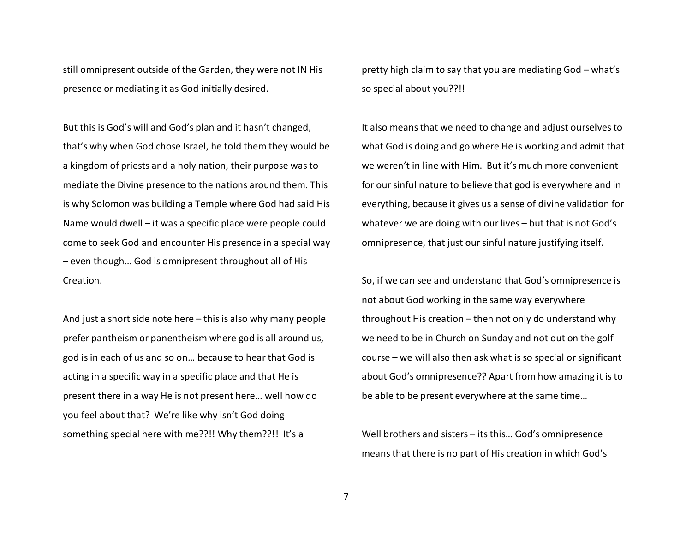still omnipresent outside of the Garden, they were not IN His presence or mediating it as God initially desired.

But this is God's will and God's plan and it hasn't changed, that's why when God chose Israel, he told them they would be a kingdom of priests and a holy nation, their purpose was to mediate the Divine presence to the nations around them. This is why Solomon was building a Temple where God had said His Name would dwell – it was a specific place were people could come to seek God and encounter His presence in a special way – even though… God is omnipresent throughout all of His Creation.

And just a short side note here – this is also why many people prefer pantheism or panentheism where god is all around us, god is in each of us and so on… because to hear that God is acting in a specific way in a specific place and that He is present there in a way He is not present here… well how do you feel about that? We're like why isn't God doing something special here with me??!! Why them??!! It's a

pretty high claim to say that you are mediating God – what's so special about you??!!

It also means that we need to change and adjust ourselves to what God is doing and go where He is working and admit that we weren't in line with Him. But it's much more convenient for our sinful nature to believe that god is everywhere and in everything, because it gives us a sense of divine validation for whatever we are doing with our lives – but that is not God's omnipresence, that just our sinful nature justifying itself.

So, if we can see and understand that God's omnipresence is not about God working in the same way everywhere throughout His creation – then not only do understand why we need to be in Church on Sunday and not out on the golf course – we will also then ask what is so special or significant about God's omnipresence?? Apart from how amazing it is to be able to be present everywhere at the same time…

Well brothers and sisters – its this… God's omnipresence means that there is no part of His creation in which God's

7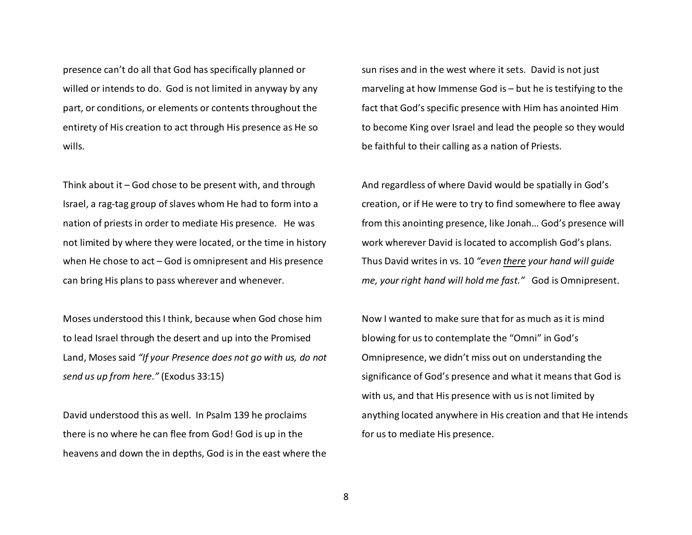presence can't do all that God has specifically planned or willed or intends to do. God is not limited in anyway by any part, or conditions, or elements or contents throughout the entirety of His creation to act through His presence as He so wills.

Think about it – God chose to be present with, and through Israel, a rag-tag group of slaves whom He had to form into a nation of priests in order to mediate His presence. He was not limited by where they were located, or the time in history when He chose to act – God is omnipresent and His presence can bring His plans to pass wherever and whenever.

Moses understood this I think, because when God chose him to lead Israel through the desert and up into the Promised Land, Moses said *"If your Presence does not go with us, do not send us up from here."* (Exodus 33:15)

David understood this as well. In Psalm 139 he proclaims there is no where he can flee from God! God is up in the heavens and down the in depths, God is in the east where the sun rises and in the west where it sets. David is not just marveling at how Immense God is – but he is testifying to the fact that God's specific presence with Him has anointed Him to become King over Israel and lead the people so they would be faithful to their calling as a nation of Priests.

And regardless of where David would be spatially in God's creation, or if He were to try to find somewhere to flee away from this anointing presence, like Jonah… God's presence will work wherever David is located to accomplish God's plans. Thus David writes in vs. 10 *"even there your hand will guide me, your right hand will hold me fast."* God is Omnipresent.

Now I wanted to make sure that for as much as it is mind blowing for us to contemplate the "Omni" in God's Omnipresence, we didn't miss out on understanding thesignificance of God's presence and what it means that God is with us, and that His presence with us is not limited by anything located anywhere in His creation and that He intends for us to mediate His presence.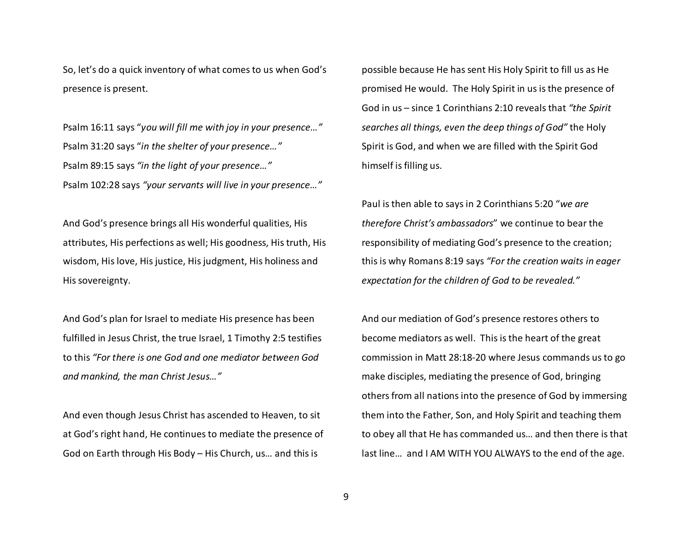So, let's do a quick inventory of what comes to us when God's presence is present.

Psalm 16:11 says "*you will fill me with joy in your presence…"*Psalm 31:20 says "*in the shelter of your presence…"* Psalm 89:15 says *"in the light of your presence…"* Psalm 102:28 says *"your servants will live in your presence…"*

And God's presence brings all His wonderful qualities, His attributes, His perfections as well; His goodness, His truth, His wisdom, His love, His justice, His judgment, His holiness and His sovereignty.

And God's plan for Israel to mediate His presence has been fulfilled in Jesus Christ, the true Israel, 1 Timothy 2:5 testifies to this *"For there is one God and one mediator between God and mankind, the man Christ Jesus…"*

And even though Jesus Christ has ascended to Heaven, to sit at God's right hand, He continues to mediate the presence of God on Earth through His Body – His Church, us… and this is

possible because He has sent His Holy Spirit to fill us as He promised He would. The Holy Spirit in us is the presence of God in us – since 1 Corinthians 2:10 reveals that *"the Spirit searches all things, even the deep things of God"* the Holy Spirit is God, and when we are filled with the Spirit God himself is filling us.

Paul is then able to says in 2 Corinthians 5:20 "*we are therefore Christ's ambassadors*" we continue to bear the responsibility of mediating God's presence to the creation; this is why Romans 8:19 says *"For the creation waits in eager expectation for the children of God to be revealed."* 

And our mediation of God's presence restores others to become mediators as well. This is the heart of the great commission in Matt 28:18-20 where Jesus commands us to go make disciples, mediating the presence of God, bringing others from all nations into the presence of God by immersing them into the Father, Son, and Holy Spirit and teaching them to obey all that He has commanded us… and then there is that last line… and I AM WITH YOU ALWAYS to the end of the age.